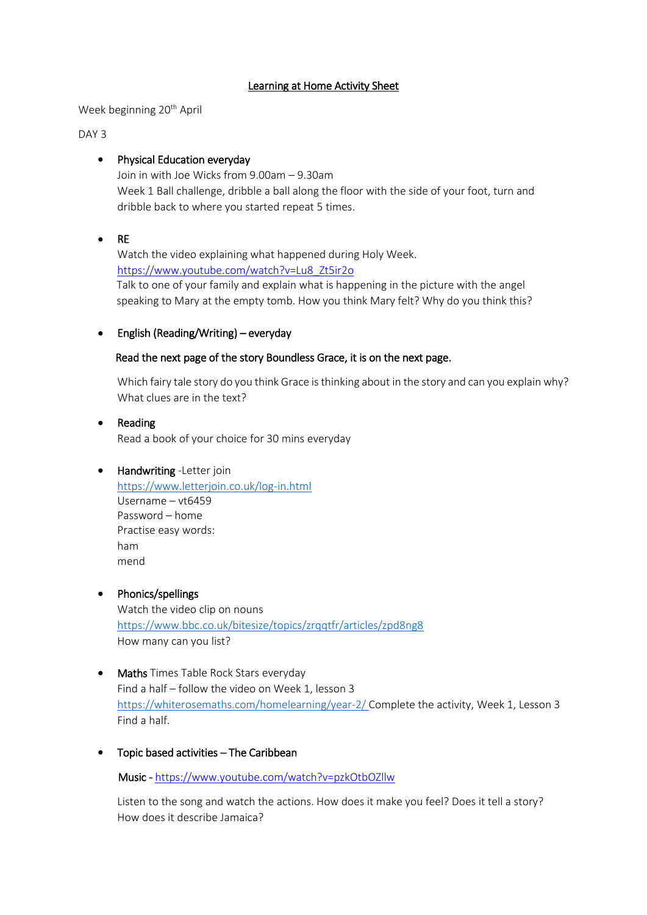#### Learning at Home Activity Sheet

Week beginning 20<sup>th</sup> April

DAY 3

### Physical Education everyday

Join in with Joe Wicks from 9.00am – 9.30am Week 1 Ball challenge, dribble a ball along the floor with the side of your foot, turn and dribble back to where you started repeat 5 times.

 $\bullet$  RE

Watch the video explaining what happened during Holy Week. [https://www.youtube.com/watch?v=Lu8\\_Zt5ir2o](https://www.youtube.com/watch?v=Lu8_Zt5ir2o)  Talk to one of your family and explain what is happening in the picture with the angel speaking to Mary at the empty tomb. How you think Mary felt? Why do you think this?

## English (Reading/Writing) – everyday

#### Read the next page of the story Boundless Grace, it is on the next page.

Which fairy tale story do you think Grace is thinking about in the story and can you explain why? What clues are in the text?

# • Reading

Read a book of your choice for 30 mins everyday

# • Handwriting -Letter join

<https://www.letterjoin.co.uk/log-in.html> Username – vt6459 Password – home Practise easy words: ham mend

#### • Phonics/spellings

Watch the video clip on nouns <https://www.bbc.co.uk/bitesize/topics/zrqqtfr/articles/zpd8ng8> How many can you list?

- Maths Times Table Rock Stars everyday Find a half – follow the video on Week 1, lesson 3 <https://whiterosemaths.com/homelearning/year-2/> Complete the activity, Week 1, Lesson 3 Find a half.
- Topic based activities The Caribbean

Music [- https://www.youtube.com/watch?v=pzkOtbOZllw](https://www.youtube.com/watch?v=pzkOtbOZllw)

Listen to the song and watch the actions. How does it make you feel? Does it tell a story? How does it describe Jamaica?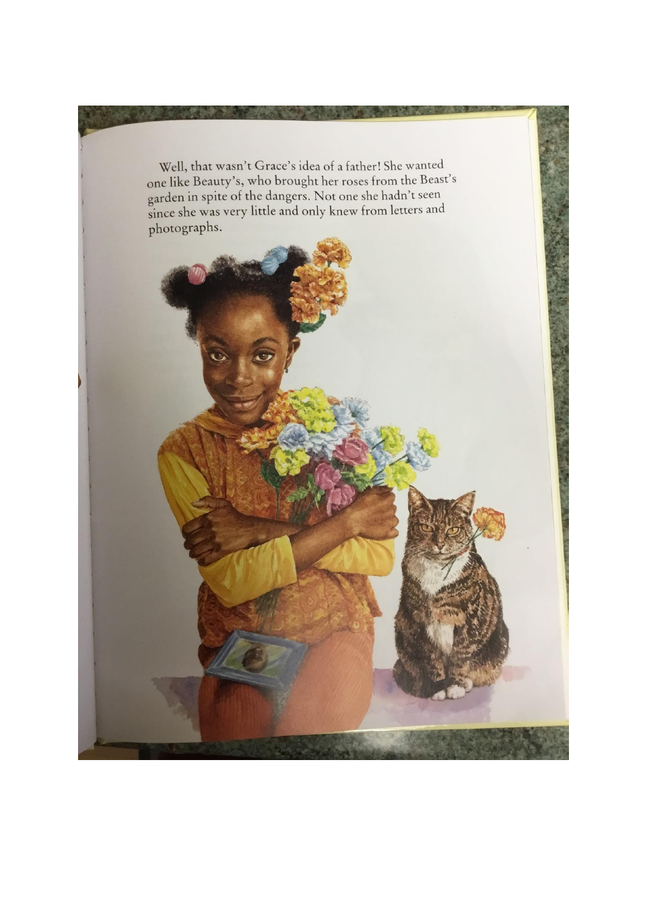Well, that wasn't Grace's idea of a father! She wanted one like Beauty's, who brought her roses from the Beast's garden in spite of the dangers. Not one she hadn't seen<br>since she was very little and only knew from letters and photographs.